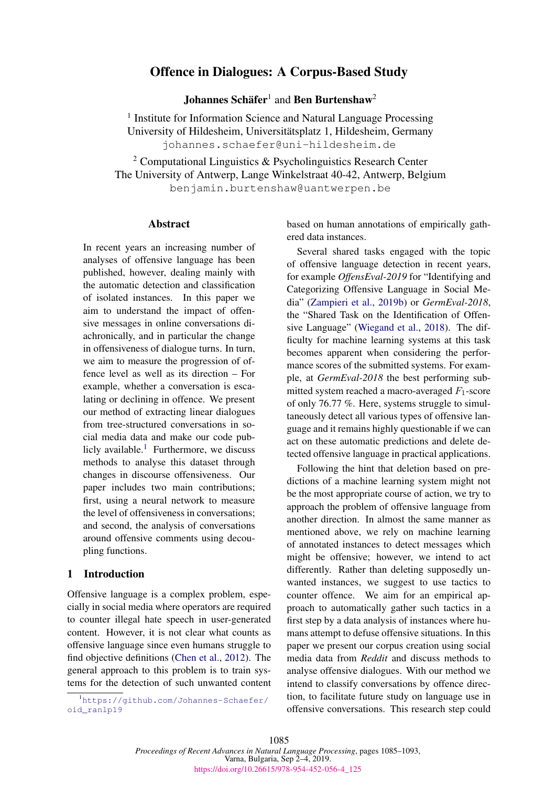# Offence in Dialogues: A Corpus-Based Study

**Johannes Schäfer<sup>1</sup> and Ben Burtenshaw<sup>2</sup>** 

<sup>1</sup> Institute for Information Science and Natural Language Processing University of Hildesheim, Universitatsplatz 1, Hildesheim, Germany ¨ johannes.schaefer@uni-hildesheim.de

<sup>2</sup> Computational Linguistics  $\&$  Psycholinguistics Research Center The University of Antwerp, Lange Winkelstraat 40-42, Antwerp, Belgium benjamin.burtenshaw@uantwerpen.be

### Abstract

In recent years an increasing number of analyses of offensive language has been published, however, dealing mainly with the automatic detection and classification of isolated instances. In this paper we aim to understand the impact of offensive messages in online conversations diachronically, and in particular the change in offensiveness of dialogue turns. In turn, we aim to measure the progression of offence level as well as its direction – For example, whether a conversation is escalating or declining in offence. We present our method of extracting linear dialogues from tree-structured conversations in social media data and make our code pub-licly available.<sup>[1](#page-0-0)</sup> Furthermore, we discuss methods to analyse this dataset through changes in discourse offensiveness. Our paper includes two main contributions; first, using a neural network to measure the level of offensiveness in conversations; and second, the analysis of conversations around offensive comments using decoupling functions.

### 1 Introduction

Offensive language is a complex problem, especially in social media where operators are required to counter illegal hate speech in user-generated content. However, it is not clear what counts as offensive language since even humans struggle to find objective definitions [\(Chen et al.,](#page-8-0) [2012\)](#page-8-0). The general approach to this problem is to train systems for the detection of such unwanted content

<span id="page-0-0"></span><sup>1</sup>[https://github.com/Johannes-Schaefer/](https://github.com/Johannes-Schaefer/oid_ranlp19) [oid\\_ranlp19](https://github.com/Johannes-Schaefer/oid_ranlp19)

based on human annotations of empirically gathered data instances.

Several shared tasks engaged with the topic of offensive language detection in recent years, for example *OffensEval-2019* for "Identifying and Categorizing Offensive Language in Social Media" [\(Zampieri et al.,](#page-8-1) [2019b\)](#page-8-1) or *GermEval-2018*, the "Shared Task on the Identification of Offensive Language" [\(Wiegand et al.,](#page-8-2) [2018\)](#page-8-2). The difficulty for machine learning systems at this task becomes apparent when considering the performance scores of the submitted systems. For example, at *GermEval-2018* the best performing submitted system reached a macro-averaged  $F_1$ -score of only 76.77 %. Here, systems struggle to simultaneously detect all various types of offensive language and it remains highly questionable if we can act on these automatic predictions and delete detected offensive language in practical applications.

Following the hint that deletion based on predictions of a machine learning system might not be the most appropriate course of action, we try to approach the problem of offensive language from another direction. In almost the same manner as mentioned above, we rely on machine learning of annotated instances to detect messages which might be offensive; however, we intend to act differently. Rather than deleting supposedly unwanted instances, we suggest to use tactics to counter offence. We aim for an empirical approach to automatically gather such tactics in a first step by a data analysis of instances where humans attempt to defuse offensive situations. In this paper we present our corpus creation using social media data from *Reddit* and discuss methods to analyse offensive dialogues. With our method we intend to classify conversations by offence direction, to facilitate future study on language use in offensive conversations. This research step could

1085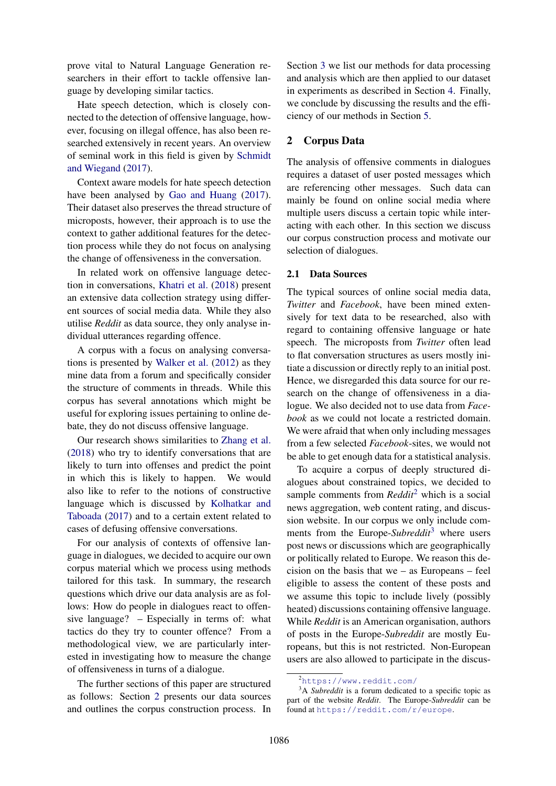prove vital to Natural Language Generation researchers in their effort to tackle offensive language by developing similar tactics.

Hate speech detection, which is closely connected to the detection of offensive language, however, focusing on illegal offence, has also been researched extensively in recent years. An overview of seminal work in this field is given by [Schmidt](#page-8-3) [and Wiegand](#page-8-3) [\(2017\)](#page-8-3).

Context aware models for hate speech detection have been analysed by [Gao and Huang](#page-8-4) [\(2017\)](#page-8-4). Their dataset also preserves the thread structure of microposts, however, their approach is to use the context to gather additional features for the detection process while they do not focus on analysing the change of offensiveness in the conversation.

In related work on offensive language detection in conversations, [Khatri et al.](#page-8-5) [\(2018\)](#page-8-5) present an extensive data collection strategy using different sources of social media data. While they also utilise *Reddit* as data source, they only analyse individual utterances regarding offence.

A corpus with a focus on analysing conversations is presented by [Walker et al.](#page-8-6) [\(2012\)](#page-8-6) as they mine data from a forum and specifically consider the structure of comments in threads. While this corpus has several annotations which might be useful for exploring issues pertaining to online debate, they do not discuss offensive language.

Our research shows similarities to [Zhang et al.](#page-8-7) [\(2018\)](#page-8-7) who try to identify conversations that are likely to turn into offenses and predict the point in which this is likely to happen. We would also like to refer to the notions of constructive language which is discussed by [Kolhatkar and](#page-8-8) [Taboada](#page-8-8) [\(2017\)](#page-8-8) and to a certain extent related to cases of defusing offensive conversations.

For our analysis of contexts of offensive language in dialogues, we decided to acquire our own corpus material which we process using methods tailored for this task. In summary, the research questions which drive our data analysis are as follows: How do people in dialogues react to offensive language? – Especially in terms of: what tactics do they try to counter offence? From a methodological view, we are particularly interested in investigating how to measure the change of offensiveness in turns of a dialogue.

The further sections of this paper are structured as follows: Section [2](#page-1-0) presents our data sources and outlines the corpus construction process. In

Section [3](#page-2-0) we list our methods for data processing and analysis which are then applied to our dataset in experiments as described in Section [4.](#page-5-0) Finally, we conclude by discussing the results and the efficiency of our methods in Section [5.](#page-7-0)

### <span id="page-1-0"></span>2 Corpus Data

The analysis of offensive comments in dialogues requires a dataset of user posted messages which are referencing other messages. Such data can mainly be found on online social media where multiple users discuss a certain topic while interacting with each other. In this section we discuss our corpus construction process and motivate our selection of dialogues.

#### 2.1 Data Sources

The typical sources of online social media data, *Twitter* and *Facebook*, have been mined extensively for text data to be researched, also with regard to containing offensive language or hate speech. The microposts from *Twitter* often lead to flat conversation structures as users mostly initiate a discussion or directly reply to an initial post. Hence, we disregarded this data source for our research on the change of offensiveness in a dialogue. We also decided not to use data from *Facebook* as we could not locate a restricted domain. We were afraid that when only including messages from a few selected *Facebook*-sites, we would not be able to get enough data for a statistical analysis.

To acquire a corpus of deeply structured dialogues about constrained topics, we decided to sample comments from *Reddit*[2](#page-1-1) which is a social news aggregation, web content rating, and discussion website. In our corpus we only include comments from the Europe-*Subreddit*[3](#page-1-2) where users post news or discussions which are geographically or politically related to Europe. We reason this decision on the basis that we – as Europeans – feel eligible to assess the content of these posts and we assume this topic to include lively (possibly heated) discussions containing offensive language. While *Reddit* is an American organisation, authors of posts in the Europe-*Subreddit* are mostly Europeans, but this is not restricted. Non-European users are also allowed to participate in the discus-

<span id="page-1-2"></span><span id="page-1-1"></span><sup>2</sup><https://www.reddit.com/>

<sup>&</sup>lt;sup>3</sup>A *Subreddit* is a forum dedicated to a specific topic as part of the website *Reddit*. The Europe-*Subreddit* can be found at <https://reddit.com/r/europe>.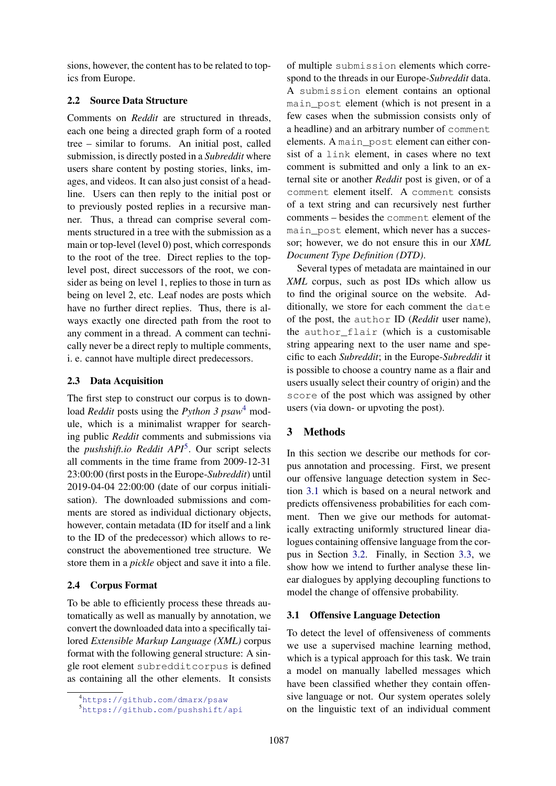sions, however, the content has to be related to topics from Europe.

# 2.2 Source Data Structure

Comments on *Reddit* are structured in threads, each one being a directed graph form of a rooted tree – similar to forums. An initial post, called submission, is directly posted in a *Subreddit* where users share content by posting stories, links, images, and videos. It can also just consist of a headline. Users can then reply to the initial post or to previously posted replies in a recursive manner. Thus, a thread can comprise several comments structured in a tree with the submission as a main or top-level (level 0) post, which corresponds to the root of the tree. Direct replies to the toplevel post, direct successors of the root, we consider as being on level 1, replies to those in turn as being on level 2, etc. Leaf nodes are posts which have no further direct replies. Thus, there is always exactly one directed path from the root to any comment in a thread. A comment can technically never be a direct reply to multiple comments, i. e. cannot have multiple direct predecessors.

### 2.3 Data Acquisition

The first step to construct our corpus is to download *Reddit* posts using the *Python 3 psaw*[4](#page-2-1) module, which is a minimalist wrapper for searching public *Reddit* comments and submissions via the *pushshift.io Reddit API*[5](#page-2-2) . Our script selects all comments in the time frame from 2009-12-31 23:00:00 (first posts in the Europe-*Subreddit*) until 2019-04-04 22:00:00 (date of our corpus initialisation). The downloaded submissions and comments are stored as individual dictionary objects, however, contain metadata (ID for itself and a link to the ID of the predecessor) which allows to reconstruct the abovementioned tree structure. We store them in a *pickle* object and save it into a file.

# 2.4 Corpus Format

To be able to efficiently process these threads automatically as well as manually by annotation, we convert the downloaded data into a specifically tailored *Extensible Markup Language (XML)* corpus format with the following general structure: A single root element subredditcorpus is defined as containing all the other elements. It consists

of multiple submission elements which correspond to the threads in our Europe-*Subreddit* data. A submission element contains an optional main\_post element (which is not present in a few cases when the submission consists only of a headline) and an arbitrary number of comment elements. A main\_post element can either consist of a link element, in cases where no text comment is submitted and only a link to an external site or another *Reddit* post is given, or of a comment element itself. A comment consists of a text string and can recursively nest further comments – besides the comment element of the main\_post element, which never has a successor; however, we do not ensure this in our *XML Document Type Definition (DTD)*.

Several types of metadata are maintained in our *XML* corpus, such as post IDs which allow us to find the original source on the website. Additionally, we store for each comment the date of the post, the author ID (*Reddit* user name), the author\_flair (which is a customisable string appearing next to the user name and specific to each *Subreddit*; in the Europe-*Subreddit* it is possible to choose a country name as a flair and users usually select their country of origin) and the score of the post which was assigned by other users (via down- or upvoting the post).

# <span id="page-2-0"></span>3 Methods

In this section we describe our methods for corpus annotation and processing. First, we present our offensive language detection system in Section [3.1](#page-2-3) which is based on a neural network and predicts offensiveness probabilities for each comment. Then we give our methods for automatically extracting uniformly structured linear dialogues containing offensive language from the corpus in Section [3.2.](#page-4-0) Finally, in Section [3.3,](#page-4-1) we show how we intend to further analyse these linear dialogues by applying decoupling functions to model the change of offensive probability.

### <span id="page-2-3"></span>3.1 Offensive Language Detection

To detect the level of offensiveness of comments we use a supervised machine learning method, which is a typical approach for this task. We train a model on manually labelled messages which have been classified whether they contain offensive language or not. Our system operates solely on the linguistic text of an individual comment

<span id="page-2-1"></span><sup>4</sup><https://github.com/dmarx/psaw>

<span id="page-2-2"></span><sup>5</sup><https://github.com/pushshift/api>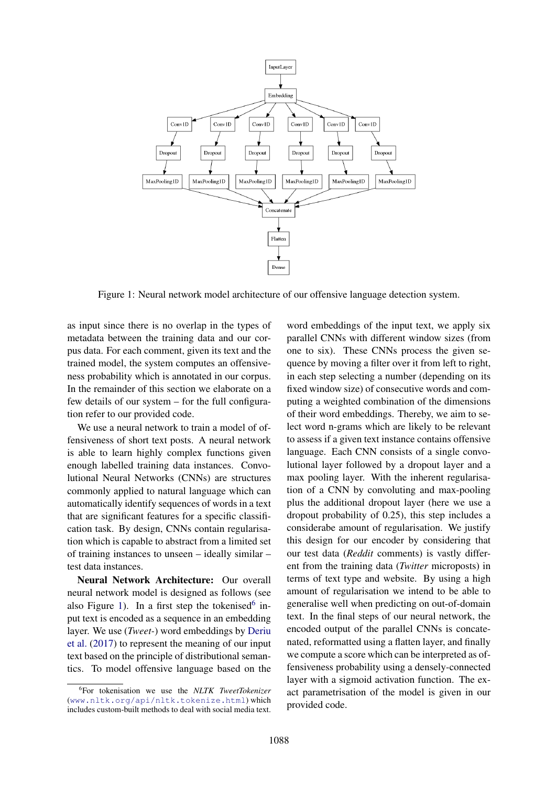

<span id="page-3-0"></span>Figure 1: Neural network model architecture of our offensive language detection system.

as input since there is no overlap in the types of metadata between the training data and our corpus data. For each comment, given its text and the trained model, the system computes an offensiveness probability which is annotated in our corpus. In the remainder of this section we elaborate on a few details of our system – for the full configuration refer to our provided code.

We use a neural network to train a model of offensiveness of short text posts. A neural network is able to learn highly complex functions given enough labelled training data instances. Convolutional Neural Networks (CNNs) are structures commonly applied to natural language which can automatically identify sequences of words in a text that are significant features for a specific classification task. By design, CNNs contain regularisation which is capable to abstract from a limited set of training instances to unseen – ideally similar – test data instances.

Neural Network Architecture: Our overall neural network model is designed as follows (see also Figure [1\)](#page-3-0). In a first step the tokenised<sup>[6](#page-3-1)</sup> input text is encoded as a sequence in an embedding layer. We use (*Tweet-*) word embeddings by [Deriu](#page-8-9) [et al.](#page-8-9) [\(2017\)](#page-8-9) to represent the meaning of our input text based on the principle of distributional semantics. To model offensive language based on the

word embeddings of the input text, we apply six parallel CNNs with different window sizes (from one to six). These CNNs process the given sequence by moving a filter over it from left to right, in each step selecting a number (depending on its fixed window size) of consecutive words and computing a weighted combination of the dimensions of their word embeddings. Thereby, we aim to select word n-grams which are likely to be relevant to assess if a given text instance contains offensive language. Each CNN consists of a single convolutional layer followed by a dropout layer and a max pooling layer. With the inherent regularisation of a CNN by convoluting and max-pooling plus the additional dropout layer (here we use a dropout probability of 0.25), this step includes a considerabe amount of regularisation. We justify this design for our encoder by considering that our test data (*Reddit* comments) is vastly different from the training data (*Twitter* microposts) in terms of text type and website. By using a high amount of regularisation we intend to be able to generalise well when predicting on out-of-domain text. In the final steps of our neural network, the encoded output of the parallel CNNs is concatenated, reformatted using a flatten layer, and finally we compute a score which can be interpreted as offensiveness probability using a densely-connected layer with a sigmoid activation function. The exact parametrisation of the model is given in our provided code.

<span id="page-3-1"></span><sup>6</sup> For tokenisation we use the *NLTK TweetTokenizer* (<www.nltk.org/api/nltk.tokenize.html>) which includes custom-built methods to deal with social media text.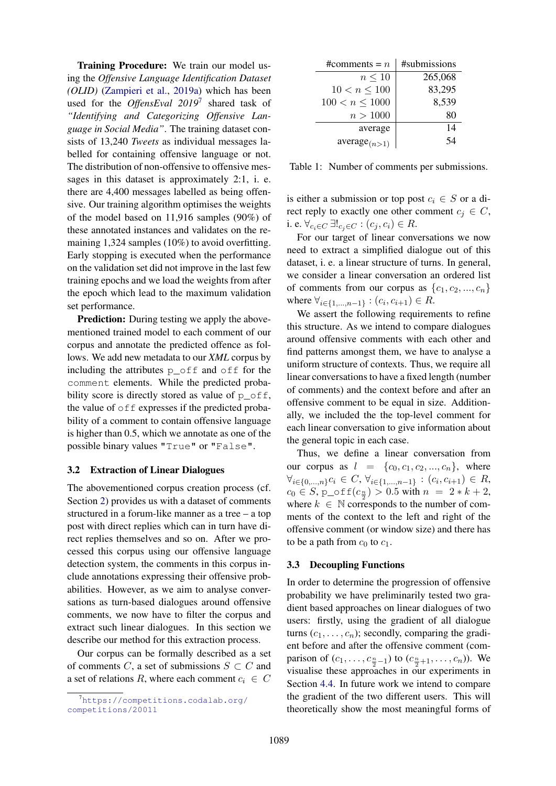Training Procedure: We train our model using the *Offensive Language Identification Dataset (OLID)* [\(Zampieri et al.,](#page-8-10) [2019a\)](#page-8-10) which has been used for the *OffensEval 2019*[7](#page-4-2) shared task of *"Identifying and Categorizing Offensive Language in Social Media"*. The training dataset consists of 13,240 *Tweets* as individual messages labelled for containing offensive language or not. The distribution of non-offensive to offensive messages in this dataset is approximately 2:1, i. e. there are 4,400 messages labelled as being offensive. Our training algorithm optimises the weights of the model based on 11,916 samples (90%) of these annotated instances and validates on the remaining 1,324 samples (10%) to avoid overfitting. Early stopping is executed when the performance on the validation set did not improve in the last few training epochs and we load the weights from after the epoch which lead to the maximum validation set performance.

**Prediction:** During testing we apply the abovementioned trained model to each comment of our corpus and annotate the predicted offence as follows. We add new metadata to our *XML* corpus by including the attributes p\_off and off for the comment elements. While the predicted probability score is directly stored as value of  $p_{of}$ f, the value of  $\circ$  f  $\epsilon$  expresses if the predicted probability of a comment to contain offensive language is higher than 0.5, which we annotate as one of the possible binary values "True" or "False".

#### <span id="page-4-0"></span>3.2 Extraction of Linear Dialogues

The abovementioned corpus creation process (cf. Section [2\)](#page-1-0) provides us with a dataset of comments structured in a forum-like manner as a tree – a top post with direct replies which can in turn have direct replies themselves and so on. After we processed this corpus using our offensive language detection system, the comments in this corpus include annotations expressing their offensive probabilities. However, as we aim to analyse conversations as turn-based dialogues around offensive comments, we now have to filter the corpus and extract such linear dialogues. In this section we describe our method for this extraction process.

Our corpus can be formally described as a set of comments C, a set of submissions  $S \subset C$  and a set of relations R, where each comment  $c_i \in C$ 

| #comments = $n$     | #submissions |
|---------------------|--------------|
| $n \leq 10$         | 265,068      |
| $10 < n \leq 100$   | 83,295       |
| $100 < n \leq 1000$ | 8,539        |
| n > 1000            | 80           |
| average             | 14           |
| $average_{(n>1)}$   |              |

<span id="page-4-3"></span>Table 1: Number of comments per submissions.

is either a submission or top post  $c_i \in S$  or a direct reply to exactly one other comment  $c_j \in C$ , i. e.  $\forall_{c_i \in C} \ \exists !_{c_i \in C} : (c_j, c_i) \in R$ .

For our target of linear conversations we now need to extract a simplified dialogue out of this dataset, i. e. a linear structure of turns. In general, we consider a linear conversation an ordered list of comments from our corpus as  $\{c_1, c_2, ..., c_n\}$ where  $\forall_{i \in \{1,...,n-1\}} : (c_i, c_{i+1}) \in R$ .

We assert the following requirements to refine this structure. As we intend to compare dialogues around offensive comments with each other and find patterns amongst them, we have to analyse a uniform structure of contexts. Thus, we require all linear conversations to have a fixed length (number of comments) and the context before and after an offensive comment to be equal in size. Additionally, we included the the top-level comment for each linear conversation to give information about the general topic in each case.

Thus, we define a linear conversation from our corpus as  $l = \{c_0, c_1, c_2, ..., c_n\}$ , where  $\forall_{i \in \{0,\dots,n\}} c_i \in C, \forall_{i \in \{1,\dots,n-1\}} : (c_i, c_{i+1}) \in R,$  $c_0 \in S$ , p\_off $(c_{\frac{n}{2}}) > 0.5$  with  $n = 2 * k + 2$ , where  $k \in \mathbb{N}$  corresponds to the number of comments of the context to the left and right of the offensive comment (or window size) and there has to be a path from  $c_0$  to  $c_1$ .

### <span id="page-4-1"></span>3.3 Decoupling Functions

In order to determine the progression of offensive probability we have preliminarily tested two gradient based approaches on linear dialogues of two users: firstly, using the gradient of all dialogue turns  $(c_1, \ldots, c_n)$ ; secondly, comparing the gradient before and after the offensive comment (comparison of  $(c_1, ..., c_{\frac{n}{2}-1})$  to  $(c_{\frac{n}{2}+1}, ..., c_n)$ ). We visualise these approaches in our experiments in Section [4.4.](#page-6-0) In future work we intend to compare the gradient of the two different users. This will theoretically show the most meaningful forms of

<span id="page-4-2"></span> $7$ [https://competitions.codalab.org/](https://competitions.codalab.org/competitions/20011) [competitions/20011](https://competitions.codalab.org/competitions/20011)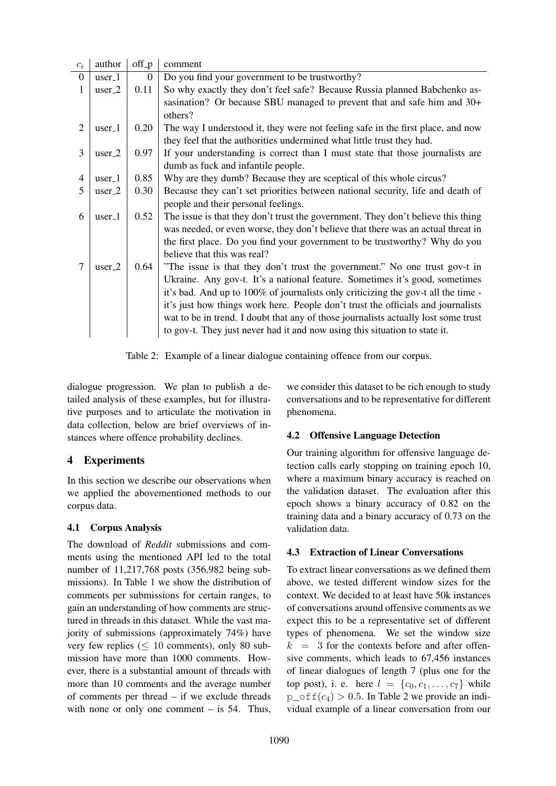| $\mathcal{C}_i$ | author             | off_p            | comment                                                                                                                                                                                                                                                                                                                                                                                                                                                                                                |
|-----------------|--------------------|------------------|--------------------------------------------------------------------------------------------------------------------------------------------------------------------------------------------------------------------------------------------------------------------------------------------------------------------------------------------------------------------------------------------------------------------------------------------------------------------------------------------------------|
| $\mathbf{0}$    | $user_1$           | $\boldsymbol{0}$ | Do you find your government to be trustworthy?                                                                                                                                                                                                                                                                                                                                                                                                                                                         |
| 1               | $user_2$           | 0.11             | So why exactly they don't feel safe? Because Russia planned Babchenko as-                                                                                                                                                                                                                                                                                                                                                                                                                              |
|                 |                    |                  | sasination? Or because SBU managed to prevent that and safe him and 30+<br>others?                                                                                                                                                                                                                                                                                                                                                                                                                     |
| 2               | user <sub>-1</sub> | 0.20             | The way I understood it, they were not feeling safe in the first place, and now<br>they feel that the authorities undermined what little trust they had.                                                                                                                                                                                                                                                                                                                                               |
| 3               | $user_2$           | 0.97             | If your understanding is correct than I must state that those journalists are<br>dumb as fuck and infantile people.                                                                                                                                                                                                                                                                                                                                                                                    |
| $\overline{4}$  | $user_1$           | 0.85             | Why are they dumb? Because they are sceptical of this whole circus?                                                                                                                                                                                                                                                                                                                                                                                                                                    |
| 5               | $user_2$           | 0.30             | Because they can't set priorities between national security, life and death of<br>people and their personal feelings.                                                                                                                                                                                                                                                                                                                                                                                  |
| 6               | user <sub>-1</sub> | 0.52             | The issue is that they don't trust the government. They don't believe this thing<br>was needed, or even worse, they don't believe that there was an actual threat in<br>the first place. Do you find your government to be trustworthy? Why do you<br>believe that this was real?                                                                                                                                                                                                                      |
|                 | $user_2$           | 0.64             | "The issue is that they don't trust the government." No one trust gov-t in<br>Ukraine. Any gov-t. It's a national feature. Sometimes it's good, sometimes<br>it's bad. And up to 100% of journalists only criticizing the gov-t all the time -<br>it's just how things work here. People don't trust the officials and journalists<br>wat to be in trend. I doubt that any of those journalists actually lost some trust<br>to gov-t. They just never had it and now using this situation to state it. |

<span id="page-5-1"></span>Table 2: Example of a linear dialogue containing offence from our corpus.

dialogue progression. We plan to publish a detailed analysis of these examples, but for illustrative purposes and to articulate the motivation in data collection, below are brief overviews of instances where offence probability declines.

# <span id="page-5-0"></span>4 Experiments

In this section we describe our observations when we applied the abovementioned methods to our corpus data.

# 4.1 Corpus Analysis

The download of *Reddit* submissions and comments using the mentioned API led to the total number of 11,217,768 posts (356,982 being submissions). In Table [1](#page-4-3) we show the distribution of comments per submissions for certain ranges, to gain an understanding of how comments are structured in threads in this dataset. While the vast majority of submissions (approximately 74%) have very few replies  $(< 10$  comments), only 80 submission have more than 1000 comments. However, there is a substantial amount of threads with more than 10 comments and the average number of comments per thread – if we exclude threads with none or only one comment  $-$  is 54. Thus,

we consider this dataset to be rich enough to study conversations and to be representative for different phenomena.

# 4.2 Offensive Language Detection

Our training algorithm for offensive language detection calls early stopping on training epoch 10, where a maximum binary accuracy is reached on the validation dataset. The evaluation after this epoch shows a binary accuracy of 0.82 on the training data and a binary accuracy of 0.73 on the validation data.

# 4.3 Extraction of Linear Conversations

To extract linear conversations as we defined them above, we tested different window sizes for the context. We decided to at least have 50k instances of conversations around offensive comments as we expect this to be a representative set of different types of phenomena. We set the window size  $k = 3$  for the contexts before and after offensive comments, which leads to 67,456 instances of linear dialogues of length 7 (plus one for the top post), i. e. here  $l = \{c_0, c_1, \ldots, c_7\}$  while  $p_{\text{off}}(c_4) > 0.5$ . In Table [2](#page-5-1) we provide an individual example of a linear conversation from our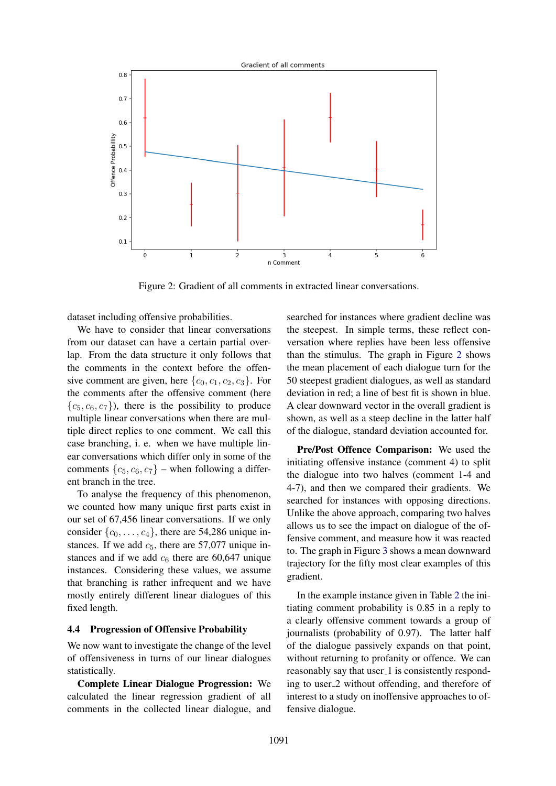

<span id="page-6-1"></span>Figure 2: Gradient of all comments in extracted linear conversations.

dataset including offensive probabilities.

We have to consider that linear conversations from our dataset can have a certain partial overlap. From the data structure it only follows that the comments in the context before the offensive comment are given, here  $\{c_0, c_1, c_2, c_3\}$ . For the comments after the offensive comment (here  ${c_5, c_6, c_7}$ , there is the possibility to produce multiple linear conversations when there are multiple direct replies to one comment. We call this case branching, i. e. when we have multiple linear conversations which differ only in some of the comments  $\{c_5, c_6, c_7\}$  – when following a different branch in the tree.

To analyse the frequency of this phenomenon, we counted how many unique first parts exist in our set of 67,456 linear conversations. If we only consider  $\{c_0, \ldots, c_4\}$ , there are 54,286 unique instances. If we add  $c_5$ , there are 57,077 unique instances and if we add  $c<sub>6</sub>$  there are 60,647 unique instances. Considering these values, we assume that branching is rather infrequent and we have mostly entirely different linear dialogues of this fixed length.

### <span id="page-6-0"></span>4.4 Progression of Offensive Probability

We now want to investigate the change of the level of offensiveness in turns of our linear dialogues statistically.

Complete Linear Dialogue Progression: We calculated the linear regression gradient of all comments in the collected linear dialogue, and searched for instances where gradient decline was the steepest. In simple terms, these reflect conversation where replies have been less offensive than the stimulus. The graph in Figure [2](#page-6-1) shows the mean placement of each dialogue turn for the 50 steepest gradient dialogues, as well as standard deviation in red; a line of best fit is shown in blue. A clear downward vector in the overall gradient is shown, as well as a steep decline in the latter half of the dialogue, standard deviation accounted for.

Pre/Post Offence Comparison: We used the initiating offensive instance (comment 4) to split the dialogue into two halves (comment 1-4 and 4-7), and then we compared their gradients. We searched for instances with opposing directions. Unlike the above approach, comparing two halves allows us to see the impact on dialogue of the offensive comment, and measure how it was reacted to. The graph in Figure [3](#page-7-1) shows a mean downward trajectory for the fifty most clear examples of this gradient.

In the example instance given in Table [2](#page-5-1) the initiating comment probability is 0.85 in a reply to a clearly offensive comment towards a group of journalists (probability of 0.97). The latter half of the dialogue passively expands on that point, without returning to profanity or offence. We can reasonably say that user 1 is consistently responding to user 2 without offending, and therefore of interest to a study on inoffensive approaches to offensive dialogue.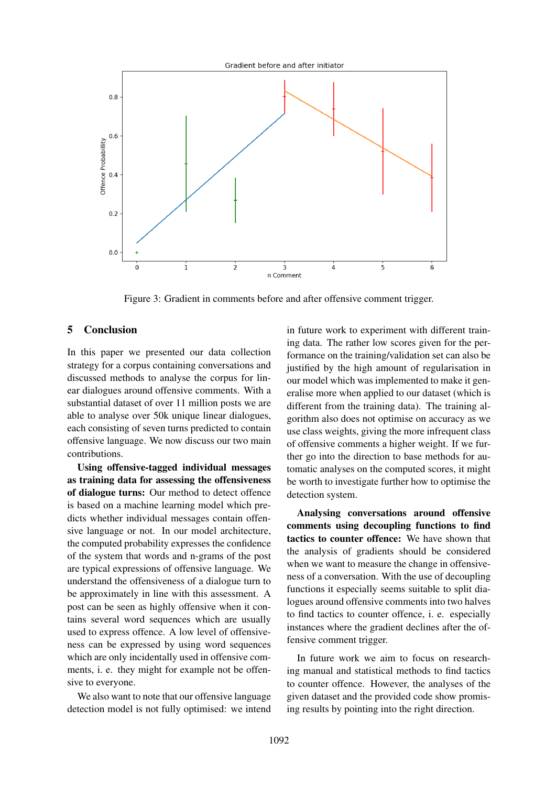

<span id="page-7-1"></span>Figure 3: Gradient in comments before and after offensive comment trigger.

### <span id="page-7-0"></span>5 Conclusion

In this paper we presented our data collection strategy for a corpus containing conversations and discussed methods to analyse the corpus for linear dialogues around offensive comments. With a substantial dataset of over 11 million posts we are able to analyse over 50k unique linear dialogues, each consisting of seven turns predicted to contain offensive language. We now discuss our two main contributions.

Using offensive-tagged individual messages as training data for assessing the offensiveness of dialogue turns: Our method to detect offence is based on a machine learning model which predicts whether individual messages contain offensive language or not. In our model architecture, the computed probability expresses the confidence of the system that words and n-grams of the post are typical expressions of offensive language. We understand the offensiveness of a dialogue turn to be approximately in line with this assessment. A post can be seen as highly offensive when it contains several word sequences which are usually used to express offence. A low level of offensiveness can be expressed by using word sequences which are only incidentally used in offensive comments, i. e. they might for example not be offensive to everyone.

We also want to note that our offensive language detection model is not fully optimised: we intend

in future work to experiment with different training data. The rather low scores given for the performance on the training/validation set can also be justified by the high amount of regularisation in our model which was implemented to make it generalise more when applied to our dataset (which is different from the training data). The training algorithm also does not optimise on accuracy as we use class weights, giving the more infrequent class of offensive comments a higher weight. If we further go into the direction to base methods for automatic analyses on the computed scores, it might be worth to investigate further how to optimise the detection system.

Analysing conversations around offensive comments using decoupling functions to find tactics to counter offence: We have shown that the analysis of gradients should be considered when we want to measure the change in offensiveness of a conversation. With the use of decoupling functions it especially seems suitable to split dialogues around offensive comments into two halves to find tactics to counter offence, i. e. especially instances where the gradient declines after the offensive comment trigger.

In future work we aim to focus on researching manual and statistical methods to find tactics to counter offence. However, the analyses of the given dataset and the provided code show promising results by pointing into the right direction.